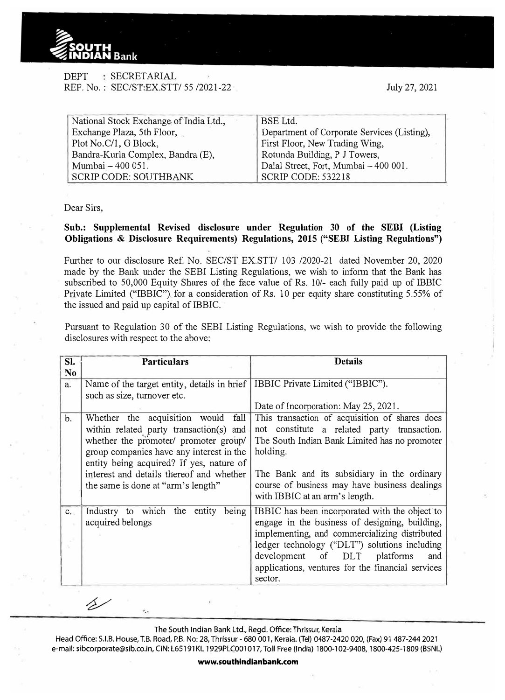

## DEPT : SECRETARIAL REF. No.: SEC/ST:EX.STT/ 55 /2021-22

July 27, 2021

| National Stock Exchange of India Ltd., | BSE Ltd.                                    |
|----------------------------------------|---------------------------------------------|
| Exchange Plaza, 5th Floor,             | Department of Corporate Services (Listing), |
| Plot No.C/1, G Block,                  | First Floor, New Trading Wing,              |
| Bandra-Kurla Complex, Bandra (E),      | Rotunda Building, P J Towers,               |
| Mumbai - 400 051.                      | Dalal Street, Fort, Mumbai - 400 001.       |
| SCRIP CODE: SOUTHBANK                  | SCRIP CODE: 532218                          |

Dear Sirs,

## **Sub.: Supplemental Revised disclosure under Regulation 30 of the SEBI (Listing Obligations & Disclosure Requirements) Regulations, 2015 ("SEBI Listing Regulations")**

Further to our disclosure Ref. No. SEC/ST EX.STT/ 103 /2020-21 dated November 20, 2020 made by the Bank under the SEBI Listing Regulations, we wish to inform that the Bank has subscribed to 50,000 Equity Shares of the face value of Rs. 10/- each fully paid up of IBBIC Private Limited ("IBBIC") for a consideration of Rs. 10 per equity share constituting 5.55% of the issued and paid up capital of IBBIC.

Pursuant to Regulation 30 of the SEBI Listing Regulations, we wish to provide the following disclosures with respect to the above:

| SI.<br>N <sub>0</sub> | <b>Particulars</b>                                                                                                                                                                                                                                                                               | <b>Details</b>                                                                                                                                                                                                                                                                                            |
|-----------------------|--------------------------------------------------------------------------------------------------------------------------------------------------------------------------------------------------------------------------------------------------------------------------------------------------|-----------------------------------------------------------------------------------------------------------------------------------------------------------------------------------------------------------------------------------------------------------------------------------------------------------|
| a.                    | Name of the target entity, details in brief   IBBIC Private Limited ("IBBIC").<br>such as size, turnover etc.                                                                                                                                                                                    | Date of Incorporation: May 25, 2021.                                                                                                                                                                                                                                                                      |
| b.                    | Whether the acquisition would fall<br>within related party transaction(s) and<br>whether the promoter/ promoter group/<br>group companies have any interest in the<br>entity being acquired? If yes, nature of<br>interest and details thereof and whether<br>the same is done at "arm's length" | This transaction of acquisition of shares does<br>constitute a related party transaction.<br>not<br>The South Indian Bank Limited has no promoter<br>holding.<br>The Bank and its subsidiary in the ordinary<br>course of business may have business dealings<br>with IBBIC at an arm's length.           |
| $c_{\cdot}$           | Industry to which the entity being<br>acquired belongs                                                                                                                                                                                                                                           | IBBIC has been incorporated with the object to<br>engage in the business of designing, building,<br>implementing, and commercializing distributed<br>ledger technology ("DLT") solutions including<br>development of DLT platforms<br>and<br>applications, ventures for the financial services<br>sector. |

The South Indian Bank Ltd., Regd. Office: Thrissur, Kerala

 $\ddot{\cdot}$ .

△

Head Office: S.I.B. House, T.B. Road, P.B. No: 28, Thrissur - 680 001, Kerala. (Tel) 0487-2420 020, (Fax) 91 487-244 2021 e-mail: sibcorporate@sib.co.in, CIN: L65191 KL 1929PLC001017, Toll Free (India) 1800-102-9408, 1800-425-1809 (BSNL)